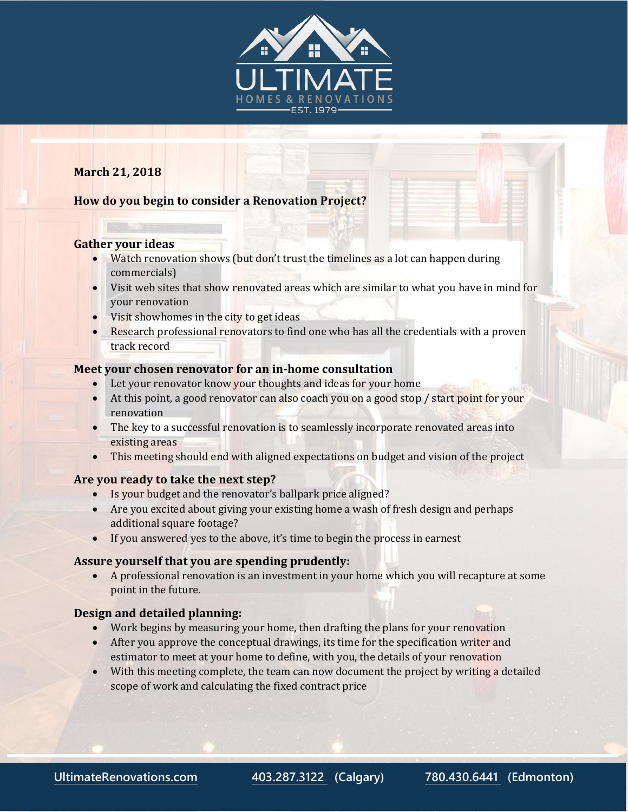

# **March 21, 2018**

## **How do you begin to consider a Renovation Project?**

### **Gather your ideas**

- Watch renovation shows (but don't trust the timelines as a lot can happen during commercials)
- Visit web sites that show renovated areas which are similar to what you have in mind for your renovation
- $\bullet$  Visit showhomes in the city to get ideas
- Research professional renovators to find one who has all the credentials with a proven track record

#### **Meet your chosen renovator for an in-home consultation**

- Let your renovator know your thoughts and ideas for your home
- At this point, a good renovator can also coach you on a good stop / start point for your renovation
- The key to a successful renovation is to seamlessly incorporate renovated areas into existing areas
- This meeting should end with aligned expectations on budget and vision of the project

### **Are you ready to take the next step?**

- Is your budget and the renovator's ballpark price aligned?
- Are you excited about giving your existing home a wash of fresh design and perhaps additional square footage?
- If you answered yes to the above, it's time to begin the process in earnest

### **Assure yourself that you are spending prudently:**

 A professional renovation is an investment in your home which you will recapture at some point in the future.

### **Design and detailed planning:**

- Work begins by measuring your home, then drafting the plans for your renovation
- After you approve the conceptual drawings, its time for the specification writer and estimator to meet at your home to define, with you, the details of your renovation
- With this meeting complete, the team can now document the project by writing a detailed scope of work and calculating the fixed contract price